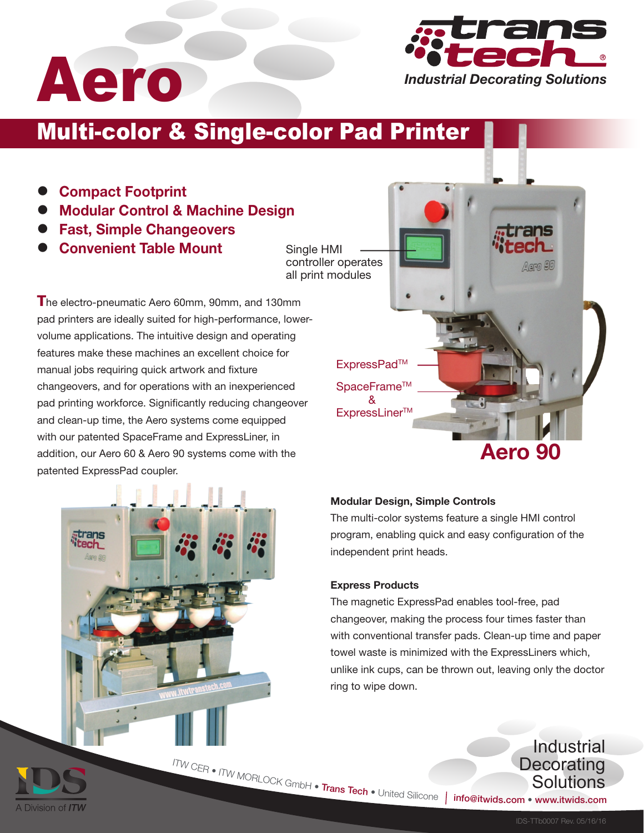

# Multi-color & Single-color Pad Printer

- Compact Footprint •
- Modular Control & Machine Design •
- Fast, Simple Changeovers •
- Convenient Table Mount •

Single HMI controller operates all print modules

**T**he electro-pneumatic Aero 60mm, 90mm, and 130mm pad printers are ideally suited for high-performance, lowervolume applications. The intuitive design and operating features make these machines an excellent choice for manual jobs requiring quick artwork and fixture changeovers, and for operations with an inexperienced pad printing workforce. Significantly reducing changeover and clean-up time, the Aero systems come equipped with our patented SpaceFrame and ExpressLiner, in addition, our Aero 60 & Aero 90 systems come with the patented ExpressPad coupler.





• ITW MORLOCK GmbH • Trans Tech •

### Express Products

The magnetic ExpressPad enables tool-free, pad changeover, making the process four times faster than with conventional transfer pads. Clean-up time and paper towel waste is minimized with the ExpressLiners which, unlike ink cups, can be thrown out, leaving only the doctor ring to wipe down.

A Division of **ITW** 

<sup>I</sup>T<sup>W</sup> <sup>C</sup>E<sup>R</sup> •

## **Industrial Decorating** Solutions

info@itwids.com • www.itwids.com